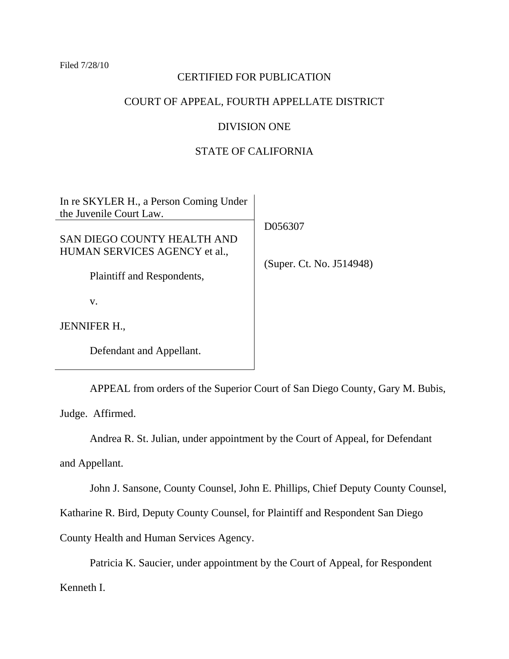Filed 7/28/10

## CERTIFIED FOR PUBLICATION

# COURT OF APPEAL, FOURTH APPELLATE DISTRICT

### DIVISION ONE

# STATE OF CALIFORNIA

| In re SKYLER H., a Person Coming Under<br>the Juvenile Court Law. |                          |
|-------------------------------------------------------------------|--------------------------|
| SAN DIEGO COUNTY HEALTH AND<br>HUMAN SERVICES AGENCY et al.,      | D056307                  |
| Plaintiff and Respondents,                                        | (Super. Ct. No. J514948) |
| V.                                                                |                          |
| <b>JENNIFER H.,</b>                                               |                          |
| Defendant and Appellant.                                          |                          |

APPEAL from orders of the Superior Court of San Diego County, Gary M. Bubis, Judge. Affirmed.

Andrea R. St. Julian, under appointment by the Court of Appeal, for Defendant

and Appellant.

John J. Sansone, County Counsel, John E. Phillips, Chief Deputy County Counsel,

Katharine R. Bird, Deputy County Counsel, for Plaintiff and Respondent San Diego

County Health and Human Services Agency.

Patricia K. Saucier, under appointment by the Court of Appeal, for Respondent

Kenneth I.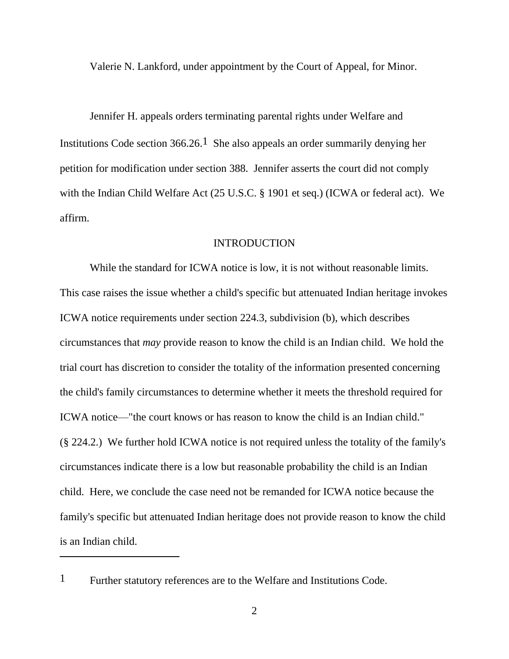Valerie N. Lankford, under appointment by the Court of Appeal, for Minor.

Jennifer H. appeals orders terminating parental rights under Welfare and Institutions Code section  $366.26$ .<sup>1</sup> She also appeals an order summarily denying her petition for modification under section 388. Jennifer asserts the court did not comply with the Indian Child Welfare Act (25 U.S.C. § 1901 et seq.) (ICWA or federal act). We affirm.

#### INTRODUCTION

While the standard for ICWA notice is low, it is not without reasonable limits. This case raises the issue whether a child's specific but attenuated Indian heritage invokes ICWA notice requirements under section 224.3, subdivision (b), which describes circumstances that *may* provide reason to know the child is an Indian child. We hold the trial court has discretion to consider the totality of the information presented concerning the child's family circumstances to determine whether it meets the threshold required for ICWA notice—"the court knows or has reason to know the child is an Indian child." (§ 224.2.) We further hold ICWA notice is not required unless the totality of the family's circumstances indicate there is a low but reasonable probability the child is an Indian child. Here, we conclude the case need not be remanded for ICWA notice because the family's specific but attenuated Indian heritage does not provide reason to know the child is an Indian child.

<sup>1</sup> Further statutory references are to the Welfare and Institutions Code.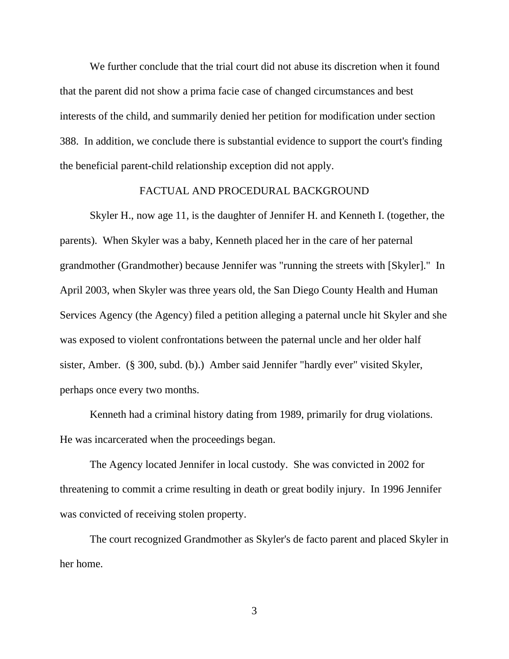We further conclude that the trial court did not abuse its discretion when it found that the parent did not show a prima facie case of changed circumstances and best interests of the child, and summarily denied her petition for modification under section 388. In addition, we conclude there is substantial evidence to support the court's finding the beneficial parent-child relationship exception did not apply.

### FACTUAL AND PROCEDURAL BACKGROUND

Skyler H., now age 11, is the daughter of Jennifer H. and Kenneth I. (together, the parents). When Skyler was a baby, Kenneth placed her in the care of her paternal grandmother (Grandmother) because Jennifer was "running the streets with [Skyler]." In April 2003, when Skyler was three years old, the San Diego County Health and Human Services Agency (the Agency) filed a petition alleging a paternal uncle hit Skyler and she was exposed to violent confrontations between the paternal uncle and her older half sister, Amber. (§ 300, subd. (b).) Amber said Jennifer "hardly ever" visited Skyler, perhaps once every two months.

Kenneth had a criminal history dating from 1989, primarily for drug violations. He was incarcerated when the proceedings began.

The Agency located Jennifer in local custody. She was convicted in 2002 for threatening to commit a crime resulting in death or great bodily injury. In 1996 Jennifer was convicted of receiving stolen property.

The court recognized Grandmother as Skyler's de facto parent and placed Skyler in her home.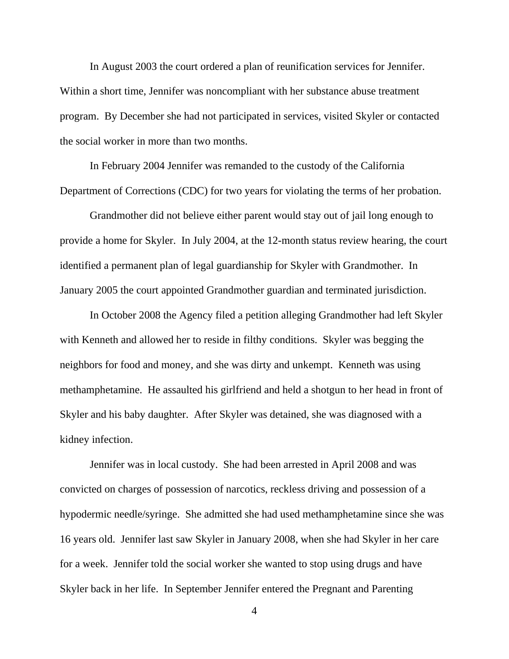In August 2003 the court ordered a plan of reunification services for Jennifer. Within a short time, Jennifer was noncompliant with her substance abuse treatment program. By December she had not participated in services, visited Skyler or contacted the social worker in more than two months.

In February 2004 Jennifer was remanded to the custody of the California Department of Corrections (CDC) for two years for violating the terms of her probation.

Grandmother did not believe either parent would stay out of jail long enough to provide a home for Skyler. In July 2004, at the 12-month status review hearing, the court identified a permanent plan of legal guardianship for Skyler with Grandmother. In January 2005 the court appointed Grandmother guardian and terminated jurisdiction.

In October 2008 the Agency filed a petition alleging Grandmother had left Skyler with Kenneth and allowed her to reside in filthy conditions. Skyler was begging the neighbors for food and money, and she was dirty and unkempt. Kenneth was using methamphetamine. He assaulted his girlfriend and held a shotgun to her head in front of Skyler and his baby daughter. After Skyler was detained, she was diagnosed with a kidney infection.

Jennifer was in local custody. She had been arrested in April 2008 and was convicted on charges of possession of narcotics, reckless driving and possession of a hypodermic needle/syringe. She admitted she had used methamphetamine since she was 16 years old. Jennifer last saw Skyler in January 2008, when she had Skyler in her care for a week. Jennifer told the social worker she wanted to stop using drugs and have Skyler back in her life. In September Jennifer entered the Pregnant and Parenting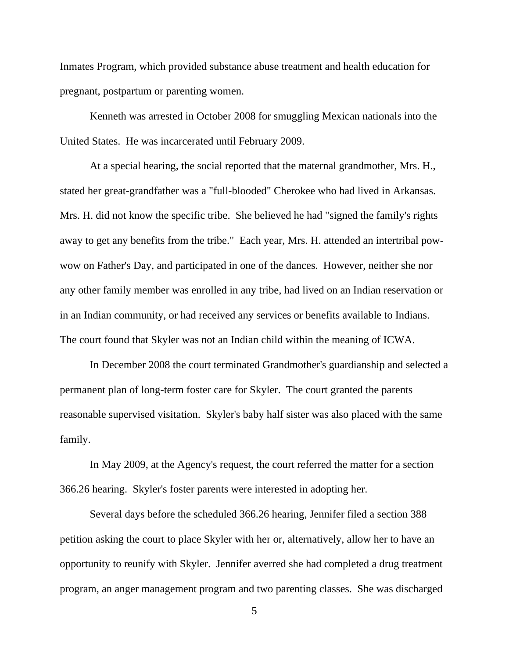Inmates Program, which provided substance abuse treatment and health education for pregnant, postpartum or parenting women.

Kenneth was arrested in October 2008 for smuggling Mexican nationals into the United States. He was incarcerated until February 2009.

At a special hearing, the social reported that the maternal grandmother, Mrs. H., stated her great-grandfather was a "full-blooded" Cherokee who had lived in Arkansas. Mrs. H. did not know the specific tribe. She believed he had "signed the family's rights away to get any benefits from the tribe." Each year, Mrs. H. attended an intertribal powwow on Father's Day, and participated in one of the dances. However, neither she nor any other family member was enrolled in any tribe, had lived on an Indian reservation or in an Indian community, or had received any services or benefits available to Indians. The court found that Skyler was not an Indian child within the meaning of ICWA.

In December 2008 the court terminated Grandmother's guardianship and selected a permanent plan of long-term foster care for Skyler. The court granted the parents reasonable supervised visitation. Skyler's baby half sister was also placed with the same family.

In May 2009, at the Agency's request, the court referred the matter for a section 366.26 hearing. Skyler's foster parents were interested in adopting her.

Several days before the scheduled 366.26 hearing, Jennifer filed a section 388 petition asking the court to place Skyler with her or, alternatively, allow her to have an opportunity to reunify with Skyler. Jennifer averred she had completed a drug treatment program, an anger management program and two parenting classes. She was discharged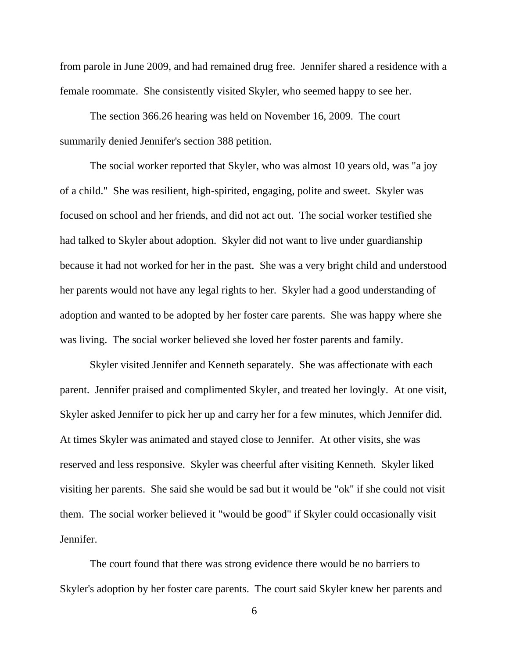from parole in June 2009, and had remained drug free. Jennifer shared a residence with a female roommate. She consistently visited Skyler, who seemed happy to see her.

The section 366.26 hearing was held on November 16, 2009. The court summarily denied Jennifer's section 388 petition.

The social worker reported that Skyler, who was almost 10 years old, was "a joy of a child." She was resilient, high-spirited, engaging, polite and sweet. Skyler was focused on school and her friends, and did not act out. The social worker testified she had talked to Skyler about adoption. Skyler did not want to live under guardianship because it had not worked for her in the past. She was a very bright child and understood her parents would not have any legal rights to her. Skyler had a good understanding of adoption and wanted to be adopted by her foster care parents. She was happy where she was living. The social worker believed she loved her foster parents and family.

Skyler visited Jennifer and Kenneth separately. She was affectionate with each parent. Jennifer praised and complimented Skyler, and treated her lovingly. At one visit, Skyler asked Jennifer to pick her up and carry her for a few minutes, which Jennifer did. At times Skyler was animated and stayed close to Jennifer. At other visits, she was reserved and less responsive. Skyler was cheerful after visiting Kenneth. Skyler liked visiting her parents. She said she would be sad but it would be "ok" if she could not visit them. The social worker believed it "would be good" if Skyler could occasionally visit Jennifer.

The court found that there was strong evidence there would be no barriers to Skyler's adoption by her foster care parents. The court said Skyler knew her parents and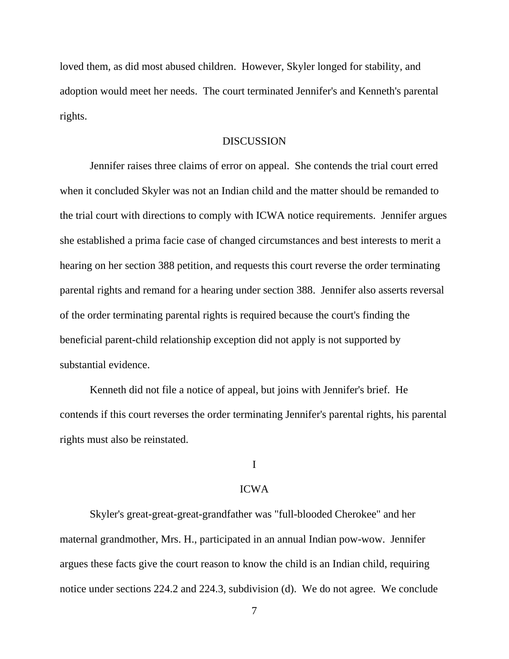loved them, as did most abused children. However, Skyler longed for stability, and adoption would meet her needs. The court terminated Jennifer's and Kenneth's parental rights.

#### DISCUSSION

Jennifer raises three claims of error on appeal. She contends the trial court erred when it concluded Skyler was not an Indian child and the matter should be remanded to the trial court with directions to comply with ICWA notice requirements. Jennifer argues she established a prima facie case of changed circumstances and best interests to merit a hearing on her section 388 petition, and requests this court reverse the order terminating parental rights and remand for a hearing under section 388. Jennifer also asserts reversal of the order terminating parental rights is required because the court's finding the beneficial parent-child relationship exception did not apply is not supported by substantial evidence.

Kenneth did not file a notice of appeal, but joins with Jennifer's brief. He contends if this court reverses the order terminating Jennifer's parental rights, his parental rights must also be reinstated.

### I

#### ICWA

Skyler's great-great-great-grandfather was "full-blooded Cherokee" and her maternal grandmother, Mrs. H., participated in an annual Indian pow-wow. Jennifer argues these facts give the court reason to know the child is an Indian child, requiring notice under sections 224.2 and 224.3, subdivision (d). We do not agree. We conclude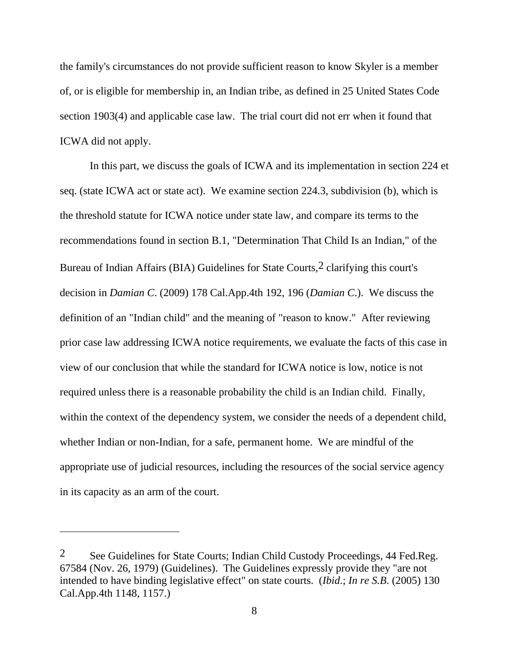the family's circumstances do not provide sufficient reason to know Skyler is a member of, or is eligible for membership in, an Indian tribe, as defined in 25 United States Code section 1903(4) and applicable case law. The trial court did not err when it found that ICWA did not apply.

In this part, we discuss the goals of ICWA and its implementation in section 224 et seq. (state ICWA act or state act). We examine section 224.3, subdivision (b), which is the threshold statute for ICWA notice under state law, and compare its terms to the recommendations found in section B.1, "Determination That Child Is an Indian," of the Bureau of Indian Affairs (BIA) Guidelines for State Courts,2 clarifying this court's decision in *Damian C*. (2009) 178 Cal.App.4th 192, 196 (*Damian C*.). We discuss the definition of an "Indian child" and the meaning of "reason to know." After reviewing prior case law addressing ICWA notice requirements, we evaluate the facts of this case in view of our conclusion that while the standard for ICWA notice is low, notice is not required unless there is a reasonable probability the child is an Indian child. Finally, within the context of the dependency system, we consider the needs of a dependent child, whether Indian or non-Indian, for a safe, permanent home. We are mindful of the appropriate use of judicial resources, including the resources of the social service agency in its capacity as an arm of the court.

<sup>2</sup> See Guidelines for State Courts; Indian Child Custody Proceedings, 44 Fed.Reg. 67584 (Nov. 26, 1979) (Guidelines). The Guidelines expressly provide they "are not intended to have binding legislative effect" on state courts. (*Ibid*.; *In re S.B*. (2005) 130 Cal.App.4th 1148, 1157.)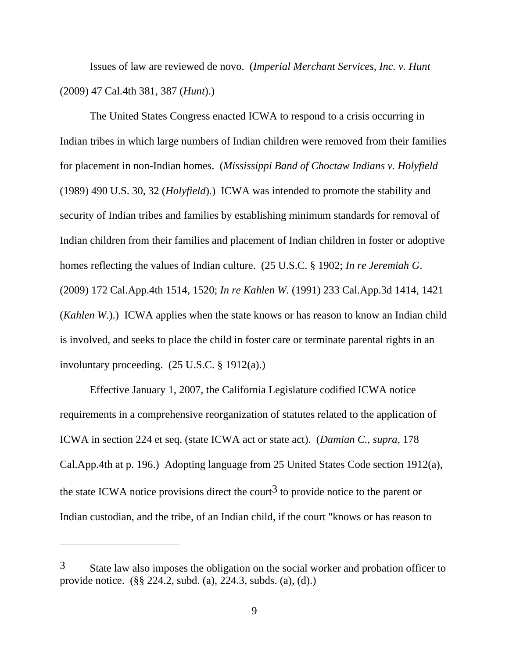Issues of law are reviewed de novo. (*Imperial Merchant Services, Inc. v. Hunt* (2009) 47 Cal.4th 381, 387 (*Hunt*).)

The United States Congress enacted ICWA to respond to a crisis occurring in Indian tribes in which large numbers of Indian children were removed from their families for placement in non-Indian homes. (*Mississippi Band of Choctaw Indians v. Holyfield* (1989) 490 U.S. 30, 32 (*Holyfield*).) ICWA was intended to promote the stability and security of Indian tribes and families by establishing minimum standards for removal of Indian children from their families and placement of Indian children in foster or adoptive homes reflecting the values of Indian culture. (25 U.S.C. § 1902; *In re Jeremiah G*. (2009) 172 Cal.App.4th 1514, 1520; *In re Kahlen W.* (1991) 233 Cal.App.3d 1414, 1421 (*Kahlen W*.).) ICWA applies when the state knows or has reason to know an Indian child is involved, and seeks to place the child in foster care or terminate parental rights in an involuntary proceeding. (25 U.S.C. § 1912(a).)

Effective January 1, 2007, the California Legislature codified ICWA notice requirements in a comprehensive reorganization of statutes related to the application of ICWA in section 224 et seq. (state ICWA act or state act). (*Damian C., supra,* 178 Cal.App.4th at p. 196.) Adopting language from 25 United States Code section 1912(a), the state ICWA notice provisions direct the court<sup>3</sup> to provide notice to the parent or Indian custodian, and the tribe, of an Indian child, if the court "knows or has reason to

 $3$  State law also imposes the obligation on the social worker and probation officer to provide notice. (§§ 224.2, subd. (a), 224.3, subds. (a), (d).)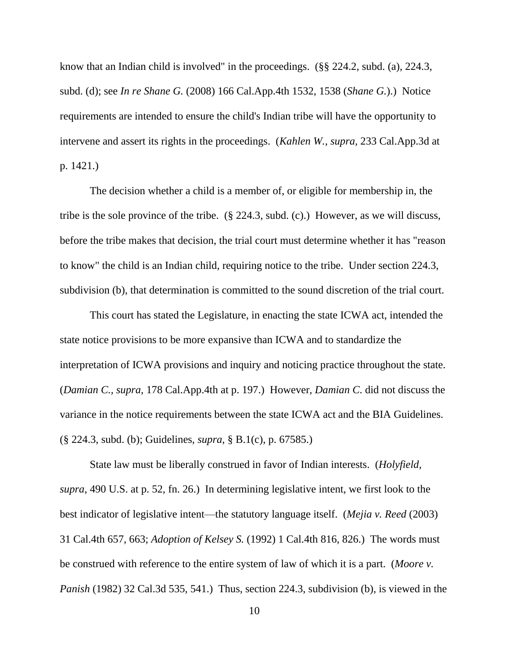know that an Indian child is involved" in the proceedings. (§§ 224.2, subd. (a), 224.3, subd. (d); see *In re Shane G.* (2008) 166 Cal.App.4th 1532, 1538 (*Shane G.*).) Notice requirements are intended to ensure the child's Indian tribe will have the opportunity to intervene and assert its rights in the proceedings. (*Kahlen W., supra,* 233 Cal.App.3d at p. 1421.)

The decision whether a child is a member of, or eligible for membership in, the tribe is the sole province of the tribe. (§ 224.3, subd. (c).) However, as we will discuss, before the tribe makes that decision, the trial court must determine whether it has "reason to know" the child is an Indian child, requiring notice to the tribe. Under section 224.3, subdivision (b), that determination is committed to the sound discretion of the trial court.

This court has stated the Legislature, in enacting the state ICWA act, intended the state notice provisions to be more expansive than ICWA and to standardize the interpretation of ICWA provisions and inquiry and noticing practice throughout the state. (*Damian C., supra*, 178 Cal.App.4th at p. 197.) However, *Damian C*. did not discuss the variance in the notice requirements between the state ICWA act and the BIA Guidelines. (§ 224.3, subd. (b); Guidelines, *supra*, § B.1(c), p. 67585.)

State law must be liberally construed in favor of Indian interests. (*Holyfield, supra*, 490 U.S. at p. 52, fn. 26.) In determining legislative intent, we first look to the best indicator of legislative intent—the statutory language itself. (*Mejia v. Reed* (2003) 31 Cal.4th 657, 663; *Adoption of Kelsey S.* (1992) 1 Cal.4th 816, 826.) The words must be construed with reference to the entire system of law of which it is a part. (*Moore v. Panish* (1982) 32 Cal.3d 535, 541.) Thus, section 224.3, subdivision (b), is viewed in the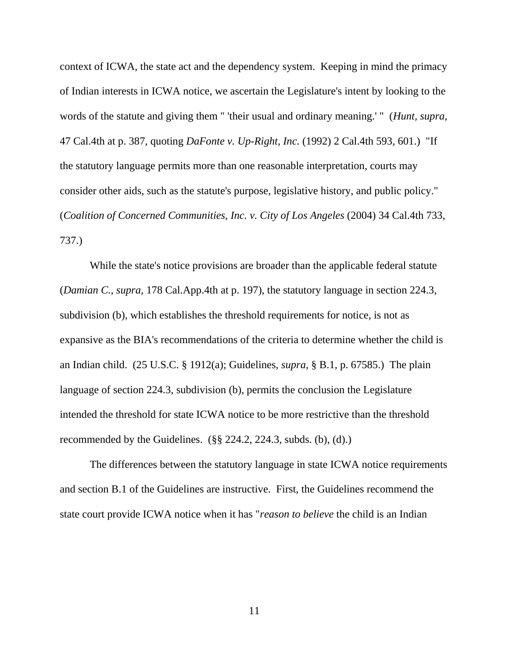context of ICWA, the state act and the dependency system. Keeping in mind the primacy of Indian interests in ICWA notice, we ascertain the Legislature's intent by looking to the words of the statute and giving them " 'their usual and ordinary meaning.' " (*Hunt, supra*, 47 Cal.4th at p. 387, quoting *DaFonte v. Up-Right, Inc.* (1992) 2 Cal.4th 593, 601.) "If the statutory language permits more than one reasonable interpretation, courts may consider other aids, such as the statute's purpose, legislative history, and public policy." (*Coalition of Concerned Communities, Inc. v. City of Los Angeles* (2004) 34 Cal.4th 733, 737.)

While the state's notice provisions are broader than the applicable federal statute (*Damian C.*, *supra*, 178 Cal.App.4th at p. 197), the statutory language in section 224.3, subdivision (b), which establishes the threshold requirements for notice, is not as expansive as the BIA's recommendations of the criteria to determine whether the child is an Indian child. (25 U.S.C. § 1912(a); Guidelines, *supra*, § B.1, p. 67585.) The plain language of section 224.3, subdivision (b), permits the conclusion the Legislature intended the threshold for state ICWA notice to be more restrictive than the threshold recommended by the Guidelines.  $(\S$ § 224.2, 224.3, subds. (b), (d).)

The differences between the statutory language in state ICWA notice requirements and section B.1 of the Guidelines are instructive. First, the Guidelines recommend the state court provide ICWA notice when it has "*reason to believe* the child is an Indian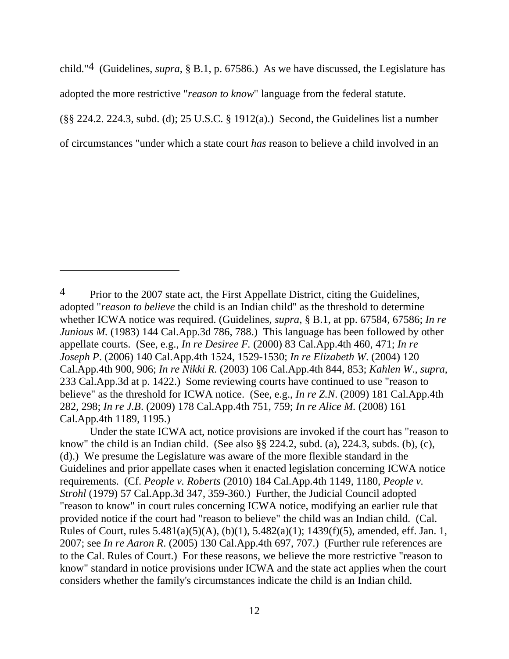child."4 (Guidelines, *supra*, § B.1, p. 67586.) As we have discussed, the Legislature has adopted the more restrictive "*reason to know*" language from the federal statute. (§§ 224.2. 224.3, subd. (d); 25 U.S.C. § 1912(a).) Second, the Guidelines list a number of circumstances "under which a state court *has* reason to believe a child involved in an

<sup>&</sup>lt;sup>4</sup> Prior to the 2007 state act, the First Appellate District, citing the Guidelines, adopted "*reason to believe* the child is an Indian child" as the threshold to determine whether ICWA notice was required. (Guidelines, *supra*, § B.1, at pp. 67584, 67586; *In re Junious M.* (1983) 144 Cal.App.3d 786, 788.) This language has been followed by other appellate courts. (See, e.g., *In re Desiree F.* (2000) 83 Cal.App.4th 460, 471; *In re Joseph P*. (2006) 140 Cal.App.4th 1524, 1529-1530; *In re Elizabeth W*. (2004) 120 Cal.App.4th 900, 906; *In re Nikki R.* (2003) 106 Cal.App.4th 844, 853; *Kahlen W*., *supra*, 233 Cal.App.3d at p. 1422.) Some reviewing courts have continued to use "reason to believe" as the threshold for ICWA notice. (See, e.g., *In re Z.N*. (2009) 181 Cal.App.4th 282, 298; *In re J.B*. (2009) 178 Cal.App.4th 751, 759; *In re Alice M.* (2008) 161 Cal.App.4th 1189, 1195.)

Under the state ICWA act, notice provisions are invoked if the court has "reason to know" the child is an Indian child. (See also §§ 224.2, subd. (a), 224.3, subds. (b), (c), (d).) We presume the Legislature was aware of the more flexible standard in the Guidelines and prior appellate cases when it enacted legislation concerning ICWA notice requirements. (Cf. *People v. Roberts* (2010) 184 Cal.App.4th 1149, 1180, *People v. Strohl* (1979) 57 Cal.App.3d 347, 359-360.) Further, the Judicial Council adopted "reason to know" in court rules concerning ICWA notice, modifying an earlier rule that provided notice if the court had "reason to believe" the child was an Indian child. (Cal. Rules of Court, rules 5.481(a)(5)(A), (b)(1), 5.482(a)(1); 1439(f)(5), amended, eff. Jan. 1, 2007; see *In re Aaron R*. (2005) 130 Cal.App.4th 697, 707.) (Further rule references are to the Cal. Rules of Court.) For these reasons, we believe the more restrictive "reason to know" standard in notice provisions under ICWA and the state act applies when the court considers whether the family's circumstances indicate the child is an Indian child.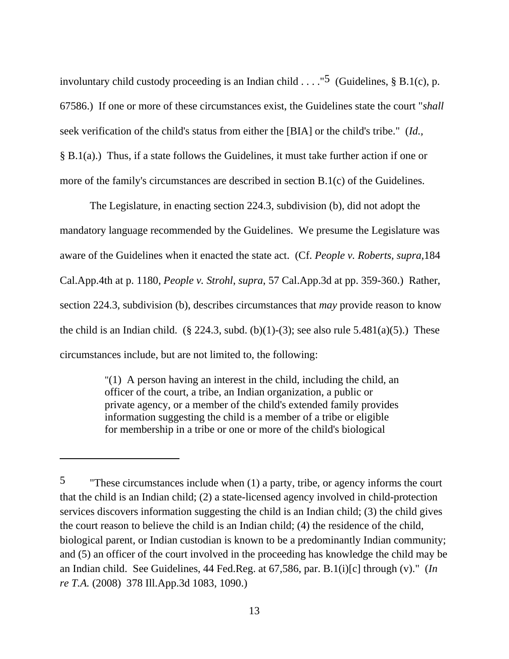involuntary child custody proceeding is an Indian child  $\dots$ ."<sup>5</sup> (Guidelines, § B.1(c), p. 67586.) If one or more of these circumstances exist, the Guidelines state the court "*shall* seek verification of the child's status from either the [BIA] or the child's tribe." (*Id.,*  § B.1(a).) Thus, if a state follows the Guidelines, it must take further action if one or more of the family's circumstances are described in section B.1(c) of the Guidelines.

The Legislature, in enacting section 224.3, subdivision (b), did not adopt the mandatory language recommended by the Guidelines. We presume the Legislature was aware of the Guidelines when it enacted the state act. (Cf. *People v. Roberts, supra,*184 Cal.App.4th at p. 1180, *People v. Strohl*, *supra*, 57 Cal.App.3d at pp. 359-360.) Rather, section 224.3, subdivision (b), describes circumstances that *may* provide reason to know the child is an Indian child. (§ 224.3, subd. (b)(1)-(3); see also rule  $5.481(a)(5)$ .) These circumstances include, but are not limited to, the following:

> "(1) A person having an interest in the child, including the child, an officer of the court, a tribe, an Indian organization, a public or private agency, or a member of the child's extended family provides information suggesting the child is a member of a tribe or eligible for membership in a tribe or one or more of the child's biological

<sup>5</sup> "These circumstances include when (1) a party, tribe, or agency informs the court that the child is an Indian child; (2) a state-licensed agency involved in child-protection services discovers information suggesting the child is an Indian child; (3) the child gives the court reason to believe the child is an Indian child; (4) the residence of the child, biological parent, or Indian custodian is known to be a predominantly Indian community; and (5) an officer of the court involved in the proceeding has knowledge the child may be an Indian child. See Guidelines, 44 Fed.Reg. at 67,586, par. B.1(i)[c] through (v)." (*In re T.A.* (2008) 378 Ill.App.3d 1083, 1090.)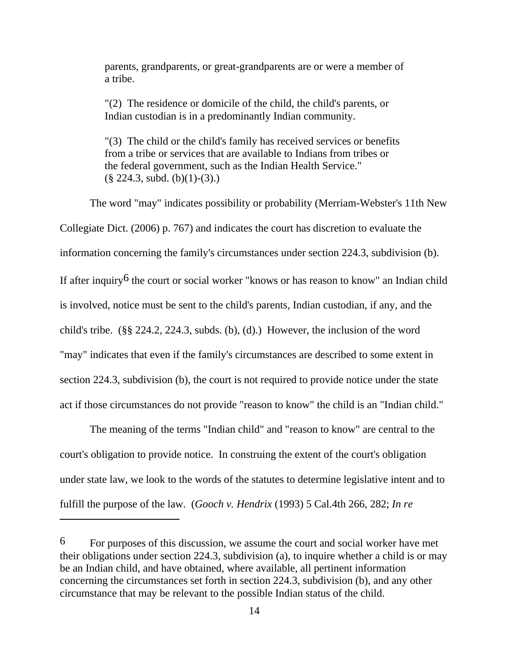parents, grandparents, or great-grandparents are or were a member of a tribe.

"(2) The residence or domicile of the child, the child's parents, or Indian custodian is in a predominantly Indian community.

"(3) The child or the child's family has received services or benefits from a tribe or services that are available to Indians from tribes or the federal government, such as the Indian Health Service."  $(\S$  224.3, subd. (b)(1)-(3).)

The word "may" indicates possibility or probability (Merriam-Webster's 11th New Collegiate Dict. (2006) p. 767) and indicates the court has discretion to evaluate the information concerning the family's circumstances under section 224.3, subdivision (b). If after inquiry<sup>6</sup> the court or social worker "knows or has reason to know" an Indian child is involved, notice must be sent to the child's parents, Indian custodian, if any, and the child's tribe. (§§ 224.2, 224.3, subds. (b), (d).) However, the inclusion of the word "may" indicates that even if the family's circumstances are described to some extent in section 224.3, subdivision (b), the court is not required to provide notice under the state act if those circumstances do not provide "reason to know" the child is an "Indian child."

The meaning of the terms "Indian child" and "reason to know" are central to the court's obligation to provide notice. In construing the extent of the court's obligation under state law, we look to the words of the statutes to determine legislative intent and to fulfill the purpose of the law. (*Gooch v. Hendrix* (1993) 5 Cal.4th 266, 282; *In re* 

<sup>6</sup> For purposes of this discussion, we assume the court and social worker have met their obligations under section 224.3, subdivision (a), to inquire whether a child is or may be an Indian child, and have obtained, where available, all pertinent information concerning the circumstances set forth in section 224.3, subdivision (b), and any other circumstance that may be relevant to the possible Indian status of the child.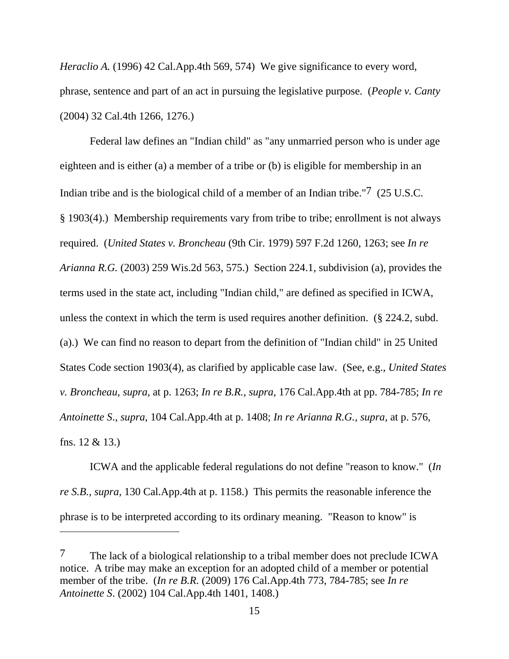*Heraclio A.* (1996) 42 Cal.App.4th 569, 574) We give significance to every word, phrase, sentence and part of an act in pursuing the legislative purpose. (*People v. Canty* (2004) 32 Cal.4th 1266, 1276.)

Federal law defines an "Indian child" as "any unmarried person who is under age eighteen and is either (a) a member of a tribe or (b) is eligible for membership in an Indian tribe and is the biological child of a member of an Indian tribe."7 (25 U.S.C. § 1903(4).) Membership requirements vary from tribe to tribe; enrollment is not always required. (*United States v. Broncheau* (9th Cir. 1979) 597 F.2d 1260, 1263; see *In re Arianna R.G.* (2003) 259 Wis.2d 563, 575.) Section 224.1, subdivision (a), provides the terms used in the state act, including "Indian child," are defined as specified in ICWA, unless the context in which the term is used requires another definition. (§ 224.2, subd. (a).) We can find no reason to depart from the definition of "Indian child" in 25 United States Code section 1903(4), as clarified by applicable case law. (See, e.g., *United States v. Broncheau, supra,* at p. 1263; *In re B.R., supra,* 176 Cal.App.4th at pp. 784-785; *In re Antoinette S*., *supra*, 104 Cal.App.4th at p. 1408; *In re Arianna R.G., supra,* at p. 576, fns. 12 & 13.)

ICWA and the applicable federal regulations do not define "reason to know." (*In re S.B., supra,* 130 Cal.App.4th at p. 1158.) This permits the reasonable inference the phrase is to be interpreted according to its ordinary meaning. "Reason to know" is

<sup>7</sup> The lack of a biological relationship to a tribal member does not preclude ICWA notice. A tribe may make an exception for an adopted child of a member or potential member of the tribe. (*In re B.R.* (2009) 176 Cal.App.4th 773, 784-785; see *In re Antoinette S*. (2002) 104 Cal.App.4th 1401, 1408.)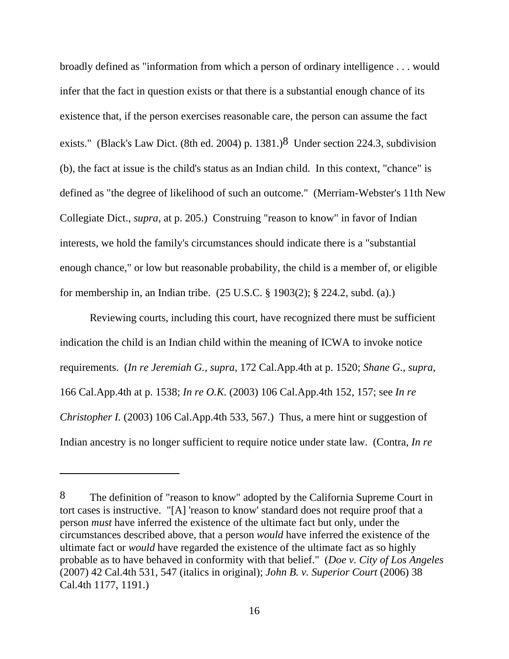broadly defined as "information from which a person of ordinary intelligence . . . would infer that the fact in question exists or that there is a substantial enough chance of its existence that, if the person exercises reasonable care, the person can assume the fact exists." (Black's Law Dict. (8th ed. 2004) p. 1381.)<sup>8</sup> Under section 224.3, subdivision (b), the fact at issue is the child's status as an Indian child. In this context, "chance" is defined as "the degree of likelihood of such an outcome." (Merriam-Webster's 11th New Collegiate Dict., *supra*, at p. 205.) Construing "reason to know" in favor of Indian interests, we hold the family's circumstances should indicate there is a "substantial enough chance," or low but reasonable probability, the child is a member of, or eligible for membership in, an Indian tribe. (25 U.S.C. § 1903(2); § 224.2, subd. (a).)

Reviewing courts, including this court, have recognized there must be sufficient indication the child is an Indian child within the meaning of ICWA to invoke notice requirements. (*In re Jeremiah G., supra,* 172 Cal.App.4th at p. 1520; *Shane G., supra,* 166 Cal.App.4th at p. 1538; *In re O.K.* (2003) 106 Cal.App.4th 152, 157; see *In re Christopher I.* (2003) 106 Cal.App.4th 533, 567.) Thus, a mere hint or suggestion of Indian ancestry is no longer sufficient to require notice under state law. (Contra, *In re* 

<sup>8</sup> The definition of "reason to know" adopted by the California Supreme Court in tort cases is instructive. "[A] 'reason to know' standard does not require proof that a person *must* have inferred the existence of the ultimate fact but only, under the circumstances described above, that a person *would* have inferred the existence of the ultimate fact or *would* have regarded the existence of the ultimate fact as so highly probable as to have behaved in conformity with that belief." (*Doe v. City of Los Angeles* (2007) 42 Cal.4th 531, 547 (italics in original); *John B. v. Superior Court* (2006) 38 Cal.4th 1177, 1191.)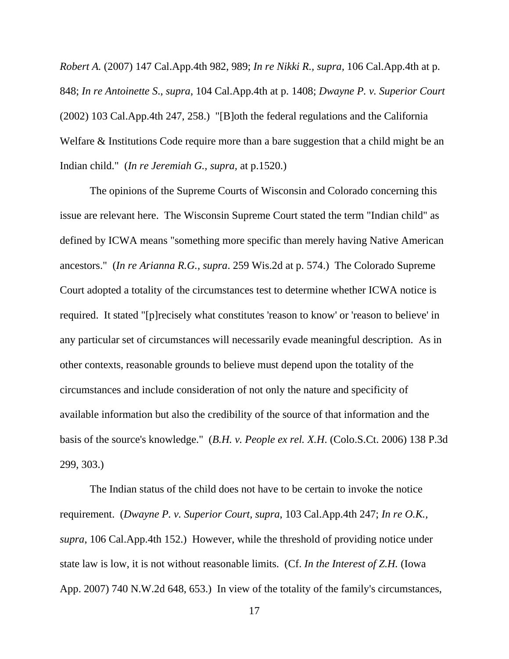*Robert A.* (2007) 147 Cal.App.4th 982, 989; *In re Nikki R., supra,* 106 Cal.App.4th at p. 848; *In re Antoinette S*., *supra*, 104 Cal.App.4th at p. 1408; *Dwayne P. v. Superior Court* (2002) 103 Cal.App.4th 247, 258.) "[B]oth the federal regulations and the California Welfare & Institutions Code require more than a bare suggestion that a child might be an Indian child." (*In re Jeremiah G., supra,* at p.1520.)

The opinions of the Supreme Courts of Wisconsin and Colorado concerning this issue are relevant here. The Wisconsin Supreme Court stated the term "Indian child" as defined by ICWA means "something more specific than merely having Native American ancestors." (*In re Arianna R.G., supra*. 259 Wis.2d at p. 574.) The Colorado Supreme Court adopted a totality of the circumstances test to determine whether ICWA notice is required. It stated "[p]recisely what constitutes 'reason to know' or 'reason to believe' in any particular set of circumstances will necessarily evade meaningful description. As in other contexts, reasonable grounds to believe must depend upon the totality of the circumstances and include consideration of not only the nature and specificity of available information but also the credibility of the source of that information and the basis of the source's knowledge." (*B.H. v. People ex rel. X.H*. (Colo.S.Ct. 2006) 138 P.3d 299, 303.)

The Indian status of the child does not have to be certain to invoke the notice requirement. (*Dwayne P. v. Superior Court, supra*, 103 Cal.App.4th 247; *In re O.K., supra*, 106 Cal.App.4th 152.) However, while the threshold of providing notice under state law is low, it is not without reasonable limits. (Cf. *In the Interest of Z.H.* (Iowa App. 2007) 740 N.W.2d 648, 653.) In view of the totality of the family's circumstances,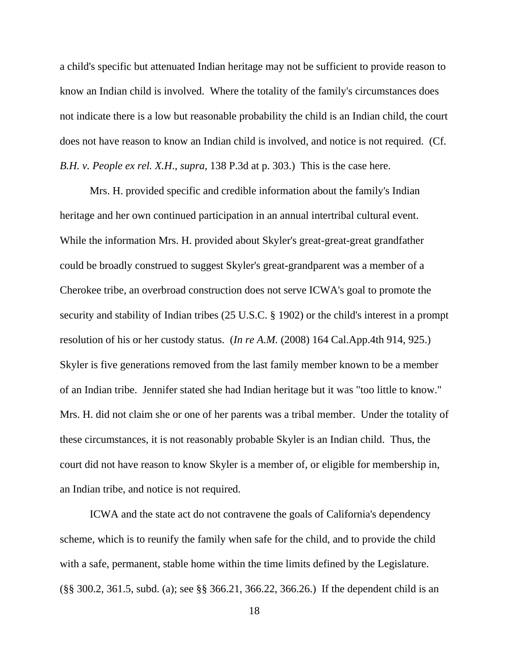a child's specific but attenuated Indian heritage may not be sufficient to provide reason to know an Indian child is involved. Where the totality of the family's circumstances does not indicate there is a low but reasonable probability the child is an Indian child, the court does not have reason to know an Indian child is involved, and notice is not required. (Cf. *B.H. v. People ex rel. X.H*., *supra,* 138 P.3d at p. 303.) This is the case here.

Mrs. H. provided specific and credible information about the family's Indian heritage and her own continued participation in an annual intertribal cultural event. While the information Mrs. H. provided about Skyler's great-great-great grandfather could be broadly construed to suggest Skyler's great-grandparent was a member of a Cherokee tribe, an overbroad construction does not serve ICWA's goal to promote the security and stability of Indian tribes (25 U.S.C. § 1902) or the child's interest in a prompt resolution of his or her custody status. (*In re A.M.* (2008) 164 Cal.App.4th 914, 925.) Skyler is five generations removed from the last family member known to be a member of an Indian tribe. Jennifer stated she had Indian heritage but it was "too little to know." Mrs. H. did not claim she or one of her parents was a tribal member. Under the totality of these circumstances, it is not reasonably probable Skyler is an Indian child. Thus, the court did not have reason to know Skyler is a member of, or eligible for membership in, an Indian tribe, and notice is not required.

ICWA and the state act do not contravene the goals of California's dependency scheme, which is to reunify the family when safe for the child, and to provide the child with a safe, permanent, stable home within the time limits defined by the Legislature. (§§ 300.2, 361.5, subd. (a); see §§ 366.21, 366.22, 366.26.) If the dependent child is an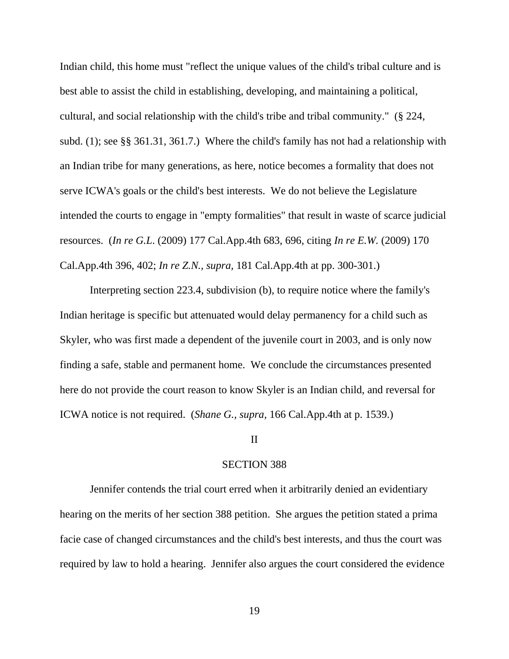Indian child, this home must "reflect the unique values of the child's tribal culture and is best able to assist the child in establishing, developing, and maintaining a political, cultural, and social relationship with the child's tribe and tribal community." (§ 224, subd. (1); see §§ 361.31, 361.7.) Where the child's family has not had a relationship with an Indian tribe for many generations, as here, notice becomes a formality that does not serve ICWA's goals or the child's best interests. We do not believe the Legislature intended the courts to engage in "empty formalities" that result in waste of scarce judicial resources. (*In re G.L*. (2009) 177 Cal.App.4th 683, 696, citing *In re E.W.* (2009) 170 Cal.App.4th 396, 402; *In re Z.N., supra,* 181 Cal.App.4th at pp. 300-301.)

Interpreting section 223.4, subdivision (b), to require notice where the family's Indian heritage is specific but attenuated would delay permanency for a child such as Skyler, who was first made a dependent of the juvenile court in 2003, and is only now finding a safe, stable and permanent home. We conclude the circumstances presented here do not provide the court reason to know Skyler is an Indian child, and reversal for ICWA notice is not required. (*Shane G., supra,* 166 Cal.App.4th at p. 1539.)

### II

### SECTION 388

Jennifer contends the trial court erred when it arbitrarily denied an evidentiary hearing on the merits of her section 388 petition. She argues the petition stated a prima facie case of changed circumstances and the child's best interests, and thus the court was required by law to hold a hearing. Jennifer also argues the court considered the evidence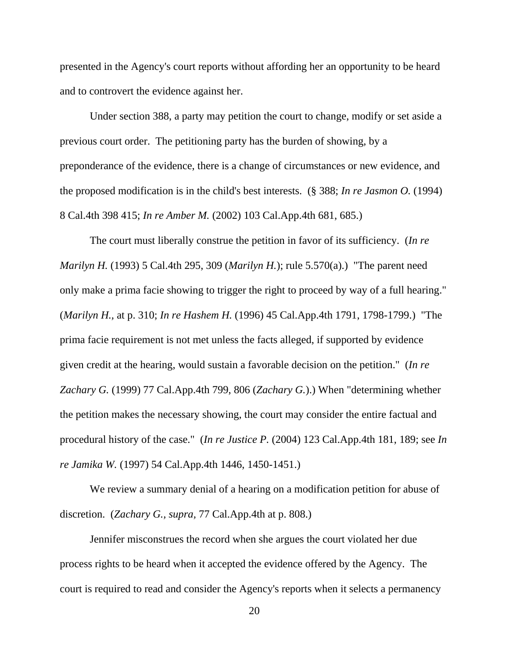presented in the Agency's court reports without affording her an opportunity to be heard and to controvert the evidence against her.

Under section 388, a party may petition the court to change, modify or set aside a previous court order. The petitioning party has the burden of showing, by a preponderance of the evidence, there is a change of circumstances or new evidence, and the proposed modification is in the child's best interests. (§ 388; *In re Jasmon O.* (1994) 8 Cal.4th 398 415; *In re Amber M.* (2002) 103 Cal.App.4th 681, 685.)

The court must liberally construe the petition in favor of its sufficiency. (*In re Marilyn H.* (1993) 5 Cal.4th 295, 309 (*Marilyn H.*); rule 5.570(a).) "The parent need only make a prima facie showing to trigger the right to proceed by way of a full hearing." (*Marilyn H.,* at p. 310; *In re Hashem H.* (1996) 45 Cal.App.4th 1791, 1798-1799.) "The prima facie requirement is not met unless the facts alleged, if supported by evidence given credit at the hearing, would sustain a favorable decision on the petition." (*In re Zachary G.* (1999) 77 Cal.App.4th 799, 806 (*Zachary G.*).) When "determining whether the petition makes the necessary showing, the court may consider the entire factual and procedural history of the case." (*In re Justice P.* (2004) 123 Cal.App.4th 181, 189; see *In re Jamika W.* (1997) 54 Cal.App.4th 1446, 1450-1451.)

We review a summary denial of a hearing on a modification petition for abuse of discretion. (*Zachary G., supra,* 77 Cal.App.4th at p. 808.)

Jennifer misconstrues the record when she argues the court violated her due process rights to be heard when it accepted the evidence offered by the Agency. The court is required to read and consider the Agency's reports when it selects a permanency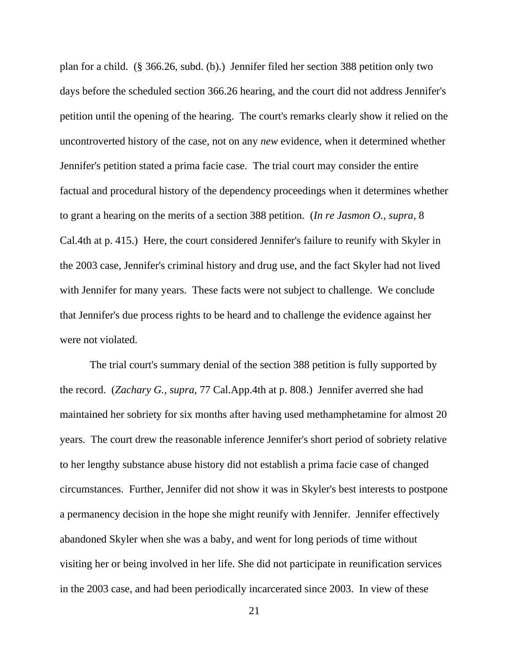plan for a child. (§ 366.26, subd. (b).) Jennifer filed her section 388 petition only two days before the scheduled section 366.26 hearing, and the court did not address Jennifer's petition until the opening of the hearing. The court's remarks clearly show it relied on the uncontroverted history of the case, not on any *new* evidence, when it determined whether Jennifer's petition stated a prima facie case. The trial court may consider the entire factual and procedural history of the dependency proceedings when it determines whether to grant a hearing on the merits of a section 388 petition. (*In re Jasmon O., supra,* 8 Cal.4th at p. 415.) Here, the court considered Jennifer's failure to reunify with Skyler in the 2003 case, Jennifer's criminal history and drug use, and the fact Skyler had not lived with Jennifer for many years. These facts were not subject to challenge. We conclude that Jennifer's due process rights to be heard and to challenge the evidence against her were not violated.

The trial court's summary denial of the section 388 petition is fully supported by the record. (*Zachary G., supra,* 77 Cal.App.4th at p. 808.) Jennifer averred she had maintained her sobriety for six months after having used methamphetamine for almost 20 years. The court drew the reasonable inference Jennifer's short period of sobriety relative to her lengthy substance abuse history did not establish a prima facie case of changed circumstances. Further, Jennifer did not show it was in Skyler's best interests to postpone a permanency decision in the hope she might reunify with Jennifer. Jennifer effectively abandoned Skyler when she was a baby, and went for long periods of time without visiting her or being involved in her life. She did not participate in reunification services in the 2003 case, and had been periodically incarcerated since 2003. In view of these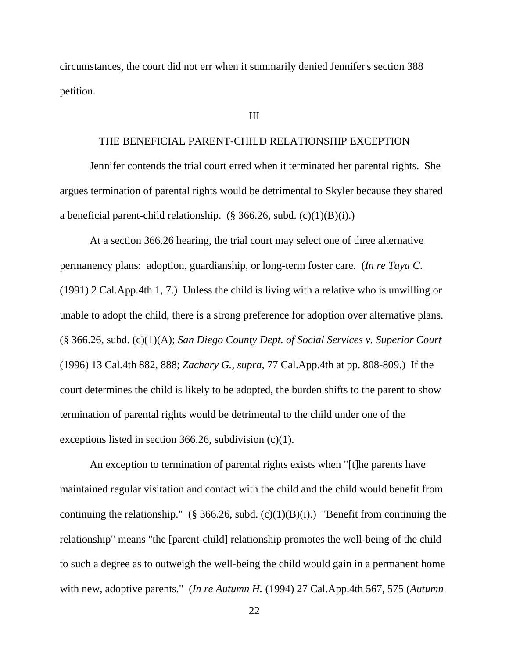circumstances, the court did not err when it summarily denied Jennifer's section 388 petition.

### III

### THE BENEFICIAL PARENT-CHILD RELATIONSHIP EXCEPTION

Jennifer contends the trial court erred when it terminated her parental rights. She argues termination of parental rights would be detrimental to Skyler because they shared a beneficial parent-child relationship.  $(\S$  366.26, subd.  $(c)(1)(B)(i)$ .)

At a section 366.26 hearing, the trial court may select one of three alternative permanency plans: adoption, guardianship, or long-term foster care. (*In re Taya C*. (1991) 2 Cal.App.4th 1, 7.) Unless the child is living with a relative who is unwilling or unable to adopt the child, there is a strong preference for adoption over alternative plans. (§ 366.26, subd. (c)(1)(A); *San Diego County Dept. of Social Services v. Superior Court* (1996) 13 Cal.4th 882, 888; *Zachary G., supra,* 77 Cal.App.4th at pp. 808-809.) If the court determines the child is likely to be adopted, the burden shifts to the parent to show termination of parental rights would be detrimental to the child under one of the exceptions listed in section 366.26, subdivision (c)(1).

An exception to termination of parental rights exists when "[t]he parents have maintained regular visitation and contact with the child and the child would benefit from continuing the relationship." (§ 366.26, subd.  $(c)(1)(B)(i)$ .) "Benefit from continuing the relationship" means "the [parent-child] relationship promotes the well-being of the child to such a degree as to outweigh the well-being the child would gain in a permanent home with new, adoptive parents." (*In re Autumn H.* (1994) 27 Cal.App.4th 567, 575 (*Autumn*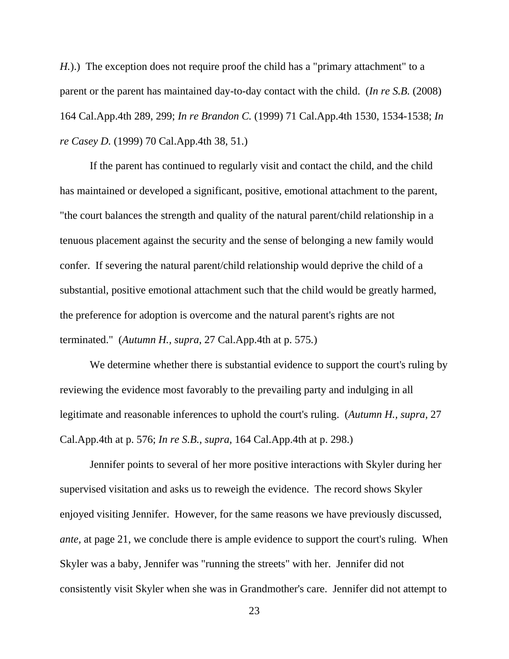*H.*).) The exception does not require proof the child has a "primary attachment" to a parent or the parent has maintained day-to-day contact with the child. (*In re S.B.* (2008) 164 Cal.App.4th 289, 299; *In re Brandon C.* (1999) 71 Cal.App.4th 1530, 1534-1538; *In re Casey D.* (1999) 70 Cal.App.4th 38, 51.)

If the parent has continued to regularly visit and contact the child, and the child has maintained or developed a significant, positive, emotional attachment to the parent, "the court balances the strength and quality of the natural parent/child relationship in a tenuous placement against the security and the sense of belonging a new family would confer. If severing the natural parent/child relationship would deprive the child of a substantial, positive emotional attachment such that the child would be greatly harmed, the preference for adoption is overcome and the natural parent's rights are not terminated." (*Autumn H., supra*, 27 Cal.App.4th at p. 575*.*)

We determine whether there is substantial evidence to support the court's ruling by reviewing the evidence most favorably to the prevailing party and indulging in all legitimate and reasonable inferences to uphold the court's ruling. (*Autumn H., supra,* 27 Cal.App.4th at p. 576; *In re S.B., supra,* 164 Cal.App.4th at p. 298.)

Jennifer points to several of her more positive interactions with Skyler during her supervised visitation and asks us to reweigh the evidence. The record shows Skyler enjoyed visiting Jennifer. However, for the same reasons we have previously discussed, *ante*, at page 21, we conclude there is ample evidence to support the court's ruling. When Skyler was a baby, Jennifer was "running the streets" with her. Jennifer did not consistently visit Skyler when she was in Grandmother's care. Jennifer did not attempt to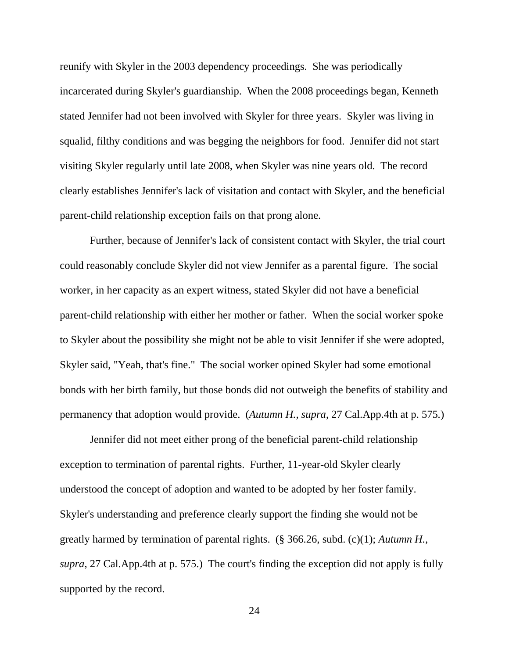reunify with Skyler in the 2003 dependency proceedings. She was periodically incarcerated during Skyler's guardianship. When the 2008 proceedings began, Kenneth stated Jennifer had not been involved with Skyler for three years. Skyler was living in squalid, filthy conditions and was begging the neighbors for food. Jennifer did not start visiting Skyler regularly until late 2008, when Skyler was nine years old. The record clearly establishes Jennifer's lack of visitation and contact with Skyler, and the beneficial parent-child relationship exception fails on that prong alone.

Further, because of Jennifer's lack of consistent contact with Skyler, the trial court could reasonably conclude Skyler did not view Jennifer as a parental figure. The social worker, in her capacity as an expert witness, stated Skyler did not have a beneficial parent-child relationship with either her mother or father. When the social worker spoke to Skyler about the possibility she might not be able to visit Jennifer if she were adopted, Skyler said, "Yeah, that's fine." The social worker opined Skyler had some emotional bonds with her birth family, but those bonds did not outweigh the benefits of stability and permanency that adoption would provide. (*Autumn H., supra*, 27 Cal.App.4th at p. 575*.*)

Jennifer did not meet either prong of the beneficial parent-child relationship exception to termination of parental rights. Further, 11-year-old Skyler clearly understood the concept of adoption and wanted to be adopted by her foster family. Skyler's understanding and preference clearly support the finding she would not be greatly harmed by termination of parental rights. (§ 366.26, subd. (c)(1); *Autumn H., supra*, 27 Cal.App.4th at p. 575.) The court's finding the exception did not apply is fully supported by the record.